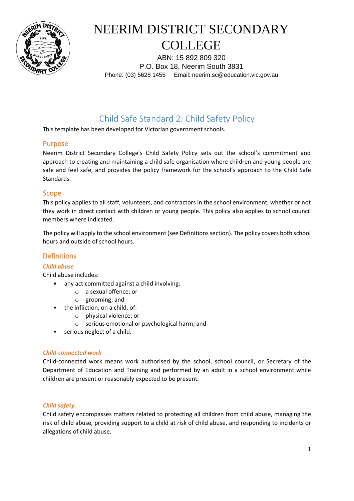

ABN: 15 892 809 320 P.O. Box 18, Neerim South 3831 Phone: (03) 5628 1455 Email: neerim.sc@education.vic.gov.au

## Child Safe Standard 2: Child Safety Policy

This template has been developed for Victorian government schools.

#### Purpose

Neerim District Secondary College's Child Safety Policy sets out the school's commitment and approach to creating and maintaining a child safe organisation where children and young people are safe and feel safe, and provides the policy framework for the school's approach to the Child Safe Standards.

#### Scope

This policy applies to all staff, volunteers, and contractors in the school environment, whether or not they work in direct contact with children or young people. This policy also applies to school council members where indicated.

The policy will apply to the school environment (see Definitions section). The policy covers both school hours and outside of school hours.

### **Definitions**

#### *Child abuse*

Child abuse includes:

- any act committed against a child involving:
	- o a sexual offence; or
	- o grooming; and
- the infliction, on a child, of:
	- o physical violence; or
	- o serious emotional or psychological harm; and
- serious neglect of a child.

#### *Child-connected work*

Child-connected work means work authorised by the school, school council, or Secretary of the Department of Education and Training and performed by an adult in a school environment while children are present or reasonably expected to be present.

#### *Child safety*

Child safety encompasses matters related to protecting all children from child abuse, managing the risk of child abuse, providing support to a child at risk of child abuse, and responding to incidents or allegations of child abuse.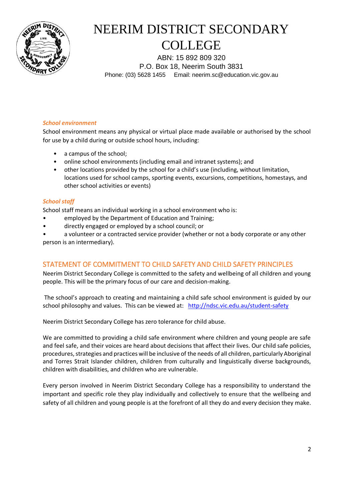

ABN: 15 892 809 320 P.O. Box 18, Neerim South 3831 Phone: (03) 5628 1455 Email: neerim.sc@education.vic.gov.au

#### *School environment*

School environment means any physical or virtual place made available or authorised by the school for use by a child during or outside school hours, including:

- a campus of the school:
- online school environments (including email and intranet systems); and
- other locations provided by the school for a child's use (including, without limitation, locations used for school camps, sporting events, excursions, competitions, homestays, and other school activities or events)

#### *School staff*

School staff means an individual working in a school environment who is:

- employed by the Department of Education and Training;
- directly engaged or employed by a school council; or

• a volunteer or a contracted service provider (whether or not a body corporate or any other person is an intermediary).

#### STATEMENT OF COMMITMENT TO CHILD SAFETY AND CHILD SAFETY PRINCIPLES

Neerim District Secondary College is committed to the safety and wellbeing of all children and young people. This will be the primary focus of our care and decision-making.

The school's approach to creating and maintaining a child safe school environment is guided by our school philosophy and values. This can be viewed at: <http://ndsc.vic.edu.au/student-safety>

Neerim District Secondary College has zero tolerance for child abuse.

We are committed to providing a child safe environment where children and young people are safe and feel safe, and their voices are heard about decisions that affect their lives. Our child safe policies, procedures, strategies and practices will be inclusive of the needs of all children, particularly Aboriginal and Torres Strait Islander children, children from culturally and linguistically diverse backgrounds, children with disabilities, and children who are vulnerable.

Every person involved in Neerim District Secondary College has a responsibility to understand the important and specific role they play individually and collectively to ensure that the wellbeing and safety of all children and young people is at the forefront of all they do and every decision they make.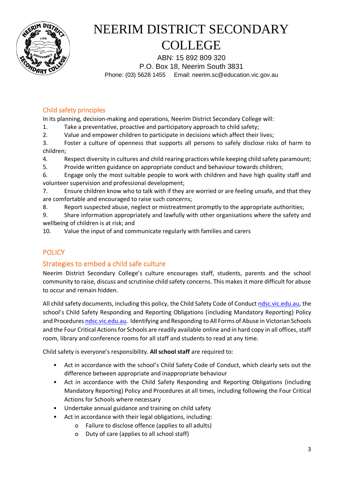

ABN: 15 892 809 320 P.O. Box 18, Neerim South 3831 Phone: (03) 5628 1455 Email: neerim.sc@education.vic.gov.au

### Child safety principles

In its planning, decision-making and operations, Neerim District Secondary College will:

1. Take a preventative, proactive and participatory approach to child safety;

2. Value and empower children to participate in decisions which affect their lives;

3. Foster a culture of openness that supports all persons to safely disclose risks of harm to children;

4. Respect diversity in cultures and child rearing practices while keeping child safety paramount;

5. Provide written guidance on appropriate conduct and behaviour towards children;

6. Engage only the most suitable people to work with children and have high quality staff and volunteer supervision and professional development;

7. Ensure children know who to talk with if they are worried or are feeling unsafe, and that they are comfortable and encouraged to raise such concerns;

8. Report suspected abuse, neglect or mistreatment promptly to the appropriate authorities;

9. Share information appropriately and lawfully with other organisations where the safety and wellbeing of children is at risk; and

10. Value the input of and communicate regularly with families and carers

## **POLICY**

## Strategies to embed a child safe culture

Neerim District Secondary College's culture encourages staff, students, parents and the school community to raise, discuss and scrutinise child safety concerns. This makes it more difficult for abuse to occur and remain hidden.

All child safety documents, including this policy, the Child Safety Code of Conduct [ndsc.vic.edu.au,](http://ndsc.vic.edu.au/student-safety) the school's Child Safety Responding and Reporting Obligations (including Mandatory Reporting) Policy and Procedure[s ndsc.vic.edu.au.](http://ndsc.vic.edu.au/student-safety) Identifying and Responding to All Forms of Abuse in Victorian Schools and the Four Critical Actions for Schools are readily available online and in hard copy in all offices, staff room, library and conference rooms for all staff and students to read at any time.

Child safety is everyone's responsibility. **All school staff** are required to:

- Act in accordance with the school's Child Safety Code of Conduct, which clearly sets out the difference between appropriate and inappropriate behaviour
- Act in accordance with the Child Safety Responding and Reporting Obligations (including Mandatory Reporting) Policy and Procedures at all times, including following the Four Critical Actions for Schools where necessary
- Undertake annual guidance and training on child safety
- Act in accordance with their legal obligations, including:
	- o Failure to disclose offence (applies to all adults)
	- o Duty of care (applies to all school staff)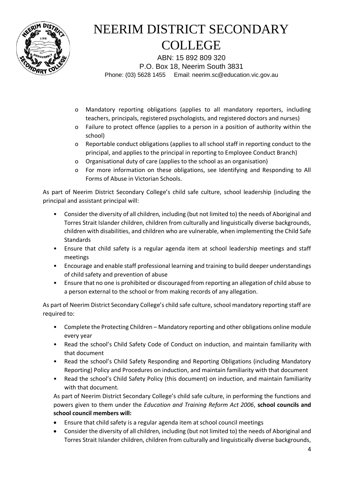

ABN: 15 892 809 320 P.O. Box 18, Neerim South 3831 Phone: (03) 5628 1455 Email: neerim.sc@education.vic.gov.au

- o Mandatory reporting obligations (applies to all mandatory reporters, including teachers, principals, registered psychologists, and registered doctors and nurses)
- o Failure to protect offence (applies to a person in a position of authority within the school)
- o Reportable conduct obligations (applies to all school staff in reporting conduct to the principal, and applies to the principal in reporting to Employee Conduct Branch)
- o Organisational duty of care (applies to the school as an organisation)
- o For more information on these obligations, see Identifying and Responding to All Forms of Abuse in Victorian Schools.

As part of Neerim District Secondary College's child safe culture, school leadership (including the principal and assistant principal will:

- Consider the diversity of all children, including (but not limited to) the needs of Aboriginal and Torres Strait Islander children, children from culturally and linguistically diverse backgrounds, children with disabilities, and children who are vulnerable, when implementing the Child Safe **Standards**
- Ensure that child safety is a regular agenda item at school leadership meetings and staff meetings
- Encourage and enable staff professional learning and training to build deeper understandings of child safety and prevention of abuse
- Ensure that no one is prohibited or discouraged from reporting an allegation of child abuse to a person external to the school or from making records of any allegation.

As part of Neerim District Secondary College's child safe culture, school mandatory reporting staff are required to:

- Complete the Protecting Children Mandatory reporting and other obligations online module every year
- Read the school's Child Safety Code of Conduct on induction, and maintain familiarity with that document
- Read the school's Child Safety Responding and Reporting Obligations (including Mandatory Reporting) Policy and Procedures on induction, and maintain familiarity with that document
- Read the school's Child Safety Policy (this document) on induction, and maintain familiarity with that document.

As part of Neerim District Secondary College's child safe culture, in performing the functions and powers given to them under the *Education and Training Reform Act 2006*, **school councils and school council members will:**

- Ensure that child safety is a regular agenda item at school council meetings
- Consider the diversity of all children, including (but not limited to) the needs of Aboriginal and Torres Strait Islander children, children from culturally and linguistically diverse backgrounds,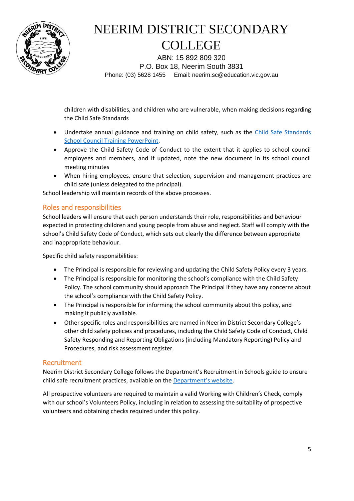

ABN: 15 892 809 320 P.O. Box 18, Neerim South 3831 Phone: (03) 5628 1455 Email: neerim.sc@education.vic.gov.au

children with disabilities, and children who are vulnerable, when making decisions regarding the Child Safe Standards

- Undertake annual guidance and training on child safety, such as the [Child Safe Standards](https://www.education.vic.gov.au/Documents/about/programs/health/protect/school-council-training.pptx)  [School Council Training PowerPoint.](https://www.education.vic.gov.au/Documents/about/programs/health/protect/school-council-training.pptx)
- Approve the Child Safety Code of Conduct to the extent that it applies to school council employees and members, and if updated, note the new document in its school council meeting minutes
- When hiring employees, ensure that selection, supervision and management practices are child safe (unless delegated to the principal).

School leadership will maintain records of the above processes.

### Roles and responsibilities

School leaders will ensure that each person understands their role, responsibilities and behaviour expected in protecting children and young people from abuse and neglect. Staff will comply with the school's Child Safety Code of Conduct, which sets out clearly the difference between appropriate and inappropriate behaviour.

Specific child safety responsibilities:

- The Principal is responsible for reviewing and updating the Child Safety Policy every 3 years.
- The Principal is responsible for monitoring the school's compliance with the Child Safety Policy. The school community should approach The Principal if they have any concerns about the school's compliance with the Child Safety Policy.
- The Principal is responsible for informing the school community about this policy, and making it publicly available.
- Other specific roles and responsibilities are named in Neerim District Secondary College's other child safety policies and procedures, including the Child Safety Code of Conduct, Child Safety Responding and Reporting Obligations (including Mandatory Reporting) Policy and Procedures, and risk assessment register.

#### Recruitment

Neerim District Secondary College follows the Department's Recruitment in Schools guide to ensure child safe recruitment practices, available on the [Department's website](https://www.education.vic.gov.au/hrweb/careers/Pages/recruitinsch.aspx).

All prospective volunteers are required to maintain a valid Working with Children's Check, comply with our school's Volunteers Policy, including in relation to assessing the suitability of prospective volunteers and obtaining checks required under this policy.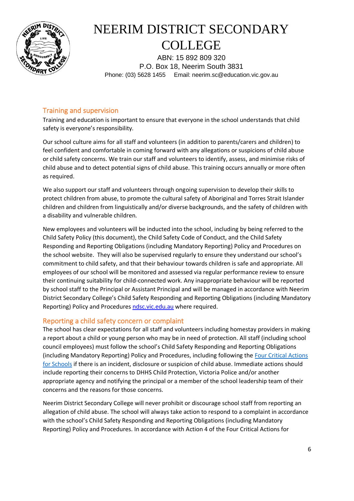

ABN: 15 892 809 320 P.O. Box 18, Neerim South 3831 Phone: (03) 5628 1455 Email: neerim.sc@education.vic.gov.au

### Training and supervision

Training and education is important to ensure that everyone in the school understands that child safety is everyone's responsibility.

Our school culture aims for all staff and volunteers (in addition to parents/carers and children) to feel confident and comfortable in coming forward with any allegations or suspicions of child abuse or child safety concerns. We train our staff and volunteers to identify, assess, and minimise risks of child abuse and to detect potential signs of child abuse. This training occurs annually or more often as required.

We also support our staff and volunteers through ongoing supervision to develop their skills to protect children from abuse, to promote the cultural safety of Aboriginal and Torres Strait Islander children and children from linguistically and/or diverse backgrounds, and the safety of children with a disability and vulnerable children.

New employees and volunteers will be inducted into the school, including by being referred to the Child Safety Policy (this document), the Child Safety Code of Conduct, and the Child Safety Responding and Reporting Obligations (including Mandatory Reporting) Policy and Procedures on the school website. They will also be supervised regularly to ensure they understand our school's commitment to child safety, and that their behaviour towards children is safe and appropriate. All employees of our school will be monitored and assessed via regular performance review to ensure their continuing suitability for child-connected work. Any inappropriate behaviour will be reported by school staff to the Principal or Assistant Principal and will be managed in accordance with Neerim District Secondary College's Child Safety Responding and Reporting Obligations (including Mandatory Reporting) Policy and Procedures [ndsc.vic.edu.au](http://ndsc.vic.edu.au/student-safety) where required.

### Reporting a child safety concern or complaint

The school has clear expectations for all staff and volunteers including homestay providers in making a report about a child or young person who may be in need of protection. All staff (including school council employees) must follow the school's Child Safety Responding and Reporting Obligations (including Mandatory Reporting) Policy and Procedures, including following the [Four Critical Actions](https://www.education.vic.gov.au/Documents/about/programs/health/protect/FourCriticalActions_ChildAbuse.pdf)  [for Schools](https://www.education.vic.gov.au/Documents/about/programs/health/protect/FourCriticalActions_ChildAbuse.pdf) if there is an incident, disclosure or suspicion of child abuse. Immediate actions should include reporting their concerns to DHHS Child Protection, Victoria Police and/or another appropriate agency and notifying the principal or a member of the school leadership team of their concerns and the reasons for those concerns.

Neerim District Secondary College will never prohibit or discourage school staff from reporting an allegation of child abuse. The school will always take action to respond to a complaint in accordance with the school's Child Safety Responding and Reporting Obligations (including Mandatory Reporting) Policy and Procedures. In accordance with Action 4 of the Four Critical Actions for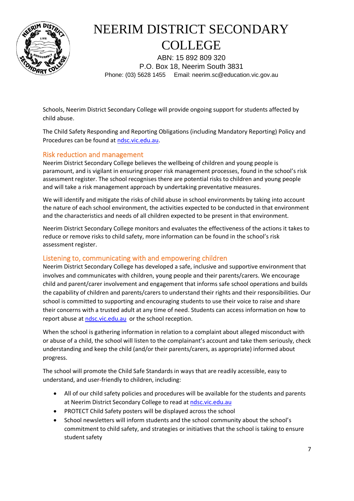

ABN: 15 892 809 320 P.O. Box 18, Neerim South 3831 Phone: (03) 5628 1455 Email: neerim.sc@education.vic.gov.au

Schools, Neerim District Secondary College will provide ongoing support for students affected by child abuse.

The Child Safety Responding and Reporting Obligations (including Mandatory Reporting) Policy and Procedures can be found at [ndsc.vic.edu.au.](http://ndsc.vic.edu.au/student-safety)

### Risk reduction and management

Neerim District Secondary College believes the wellbeing of children and young people is paramount, and is vigilant in ensuring proper risk management processes, found in the school's risk assessment register. The school recognises there are potential risks to children and young people and will take a risk management approach by undertaking preventative measures.

We will identify and mitigate the risks of child abuse in school environments by taking into account the nature of each school environment, the activities expected to be conducted in that environment and the characteristics and needs of all children expected to be present in that environment.

Neerim District Secondary College monitors and evaluates the effectiveness of the actions it takes to reduce or remove risks to child safety, more information can be found in the school's risk assessment register.

#### Listening to, communicating with and empowering children

Neerim District Secondary College has developed a safe, inclusive and supportive environment that involves and communicates with children, young people and their parents/carers. We encourage child and parent/carer involvement and engagement that informs safe school operations and builds the capability of children and parents/carers to understand their rights and their responsibilities. Our school is committed to supporting and encouraging students to use their voice to raise and share their concerns with a trusted adult at any time of need. Students can access information on how to report abuse at [ndsc.vic.edu.au](http://ndsc.vic.edu.au/student-safety) or the school reception.

When the school is gathering information in relation to a complaint about alleged misconduct with or abuse of a child, the school will listen to the complainant's account and take them seriously, check understanding and keep the child (and/or their parents/carers, as appropriate) informed about progress.

The school will promote the Child Safe Standards in ways that are readily accessible, easy to understand, and user-friendly to children, including:

- All of our child safety policies and procedures will be available for the students and parents at Neerim District Secondary College to read at [ndsc.vic.edu.au](http://ndsc.vic.edu.au/student-safety)
- PROTECT Child Safety posters will be displayed across the school
- School newsletters will inform students and the school community about the school's commitment to child safety, and strategies or initiatives that the school is taking to ensure student safety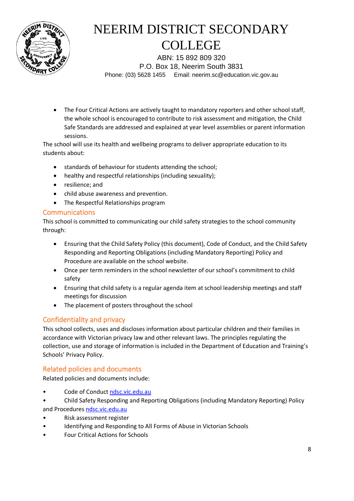

ABN: 15 892 809 320 P.O. Box 18, Neerim South 3831 Phone: (03) 5628 1455 Email: neerim.sc@education.vic.gov.au

• The Four Critical Actions are actively taught to mandatory reporters and other school staff, the whole school is encouraged to contribute to risk assessment and mitigation, the Child Safe Standards are addressed and explained at year level assemblies or parent information sessions.

The school will use its health and wellbeing programs to deliver appropriate education to its students about:

- standards of behaviour for students attending the school;
- healthy and respectful relationships (including sexuality);
- resilience; and
- child abuse awareness and prevention.
- The Respectful Relationships program

#### Communications

This school is committed to communicating our child safety strategies to the school community through:

- Ensuring that the Child Safety Policy (this document), Code of Conduct, and the Child Safety Responding and Reporting Obligations (including Mandatory Reporting) Policy and Procedure are available on the school website.
- Once per term reminders in the school newsletter of our school's commitment to child safety
- Ensuring that child safety is a regular agenda item at school leadership meetings and staff meetings for discussion
- The placement of posters throughout the school

### Confidentiality and privacy

This school collects, uses and discloses information about particular children and their families in accordance with Victorian privacy law and other relevant laws. The principles regulating the collection, use and storage of information is included in the Department of Education and Training's Schools' Privacy Policy.

### Related policies and documents

Related policies and documents include:

- Code of Conduct [ndsc.vic.edu.au](http://ndsc.vic.edu.au/student-safety)
- Child Safety Responding and Reporting Obligations (including Mandatory Reporting) Policy and Procedures [ndsc.vic.edu.au](http://ndsc.vic.edu.au/student-safety)
- Risk assessment register
- Identifying and Responding to All Forms of Abuse in Victorian Schools
- Four Critical Actions for Schools